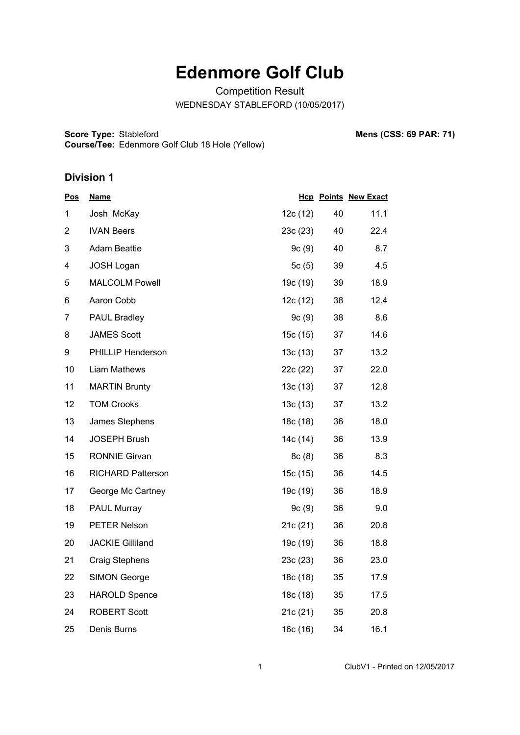## **Edenmore Golf Club**

Competition Result WEDNESDAY STABLEFORD (10/05/2017)

**Score Type: Course/Tee:** Edenmore Golf Club 18 Hole (Yellow) **Mens (CSS: 69 PAR: 71)** 

## **Division 1**

| <u>Pos</u>     | <b>Name</b>              |          |    | <b>Hcp Points New Exact</b> |
|----------------|--------------------------|----------|----|-----------------------------|
| 1              | Josh McKay               | 12c (12) | 40 | 11.1                        |
| $\overline{2}$ | <b>IVAN Beers</b>        | 23c (23) | 40 | 22.4                        |
| 3              | <b>Adam Beattie</b>      | 9c(9)    | 40 | 8.7                         |
| 4              | <b>JOSH Logan</b>        | 5c(5)    | 39 | 4.5                         |
| 5              | <b>MALCOLM Powell</b>    | 19c (19) | 39 | 18.9                        |
| 6              | Aaron Cobb               | 12c (12) | 38 | 12.4                        |
| 7              | <b>PAUL Bradley</b>      | 9c(9)    | 38 | 8.6                         |
| 8              | <b>JAMES Scott</b>       | 15c (15) | 37 | 14.6                        |
| 9              | <b>PHILLIP Henderson</b> | 13c(13)  | 37 | 13.2                        |
| 10             | Liam Mathews             | 22c (22) | 37 | 22.0                        |
| 11             | <b>MARTIN Brunty</b>     | 13c(13)  | 37 | 12.8                        |
| 12             | <b>TOM Crooks</b>        | 13c(13)  | 37 | 13.2                        |
| 13             | James Stephens           | 18c (18) | 36 | 18.0                        |
| 14             | <b>JOSEPH Brush</b>      | 14c (14) | 36 | 13.9                        |
| 15             | <b>RONNIE Girvan</b>     | 8c(8)    | 36 | 8.3                         |
| 16             | <b>RICHARD Patterson</b> | 15c(15)  | 36 | 14.5                        |
| 17             | George Mc Cartney        | 19c (19) | 36 | 18.9                        |
| 18             | <b>PAUL Murray</b>       | 9c(9)    | 36 | 9.0                         |
| 19             | <b>PETER Nelson</b>      | 21c(21)  | 36 | 20.8                        |
| 20             | <b>JACKIE Gilliland</b>  | 19c (19) | 36 | 18.8                        |
| 21             | <b>Craig Stephens</b>    | 23c (23) | 36 | 23.0                        |
| 22             | <b>SIMON George</b>      | 18c (18) | 35 | 17.9                        |
| 23             | <b>HAROLD Spence</b>     | 18c (18) | 35 | 17.5                        |
| 24             | <b>ROBERT Scott</b>      | 21c(21)  | 35 | 20.8                        |
| 25             | Denis Burns              | 16c (16) | 34 | 16.1                        |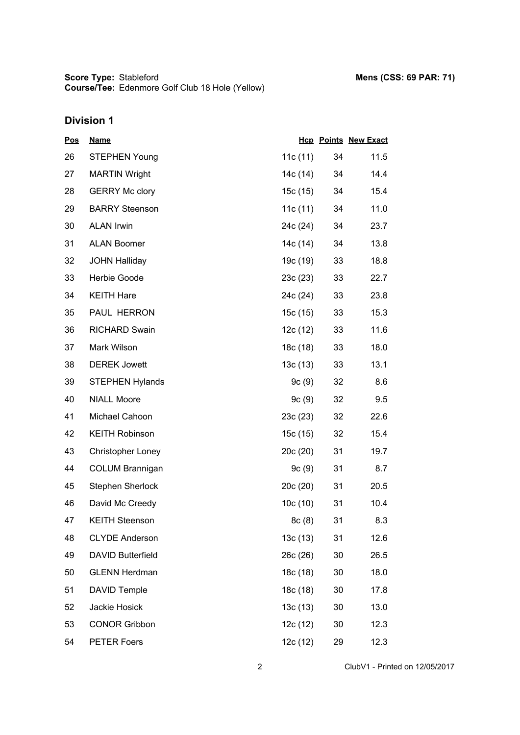## **Division 1**

| <u>Pos</u> | <b>Name</b>              |            |    | <b>Hcp Points New Exact</b> |
|------------|--------------------------|------------|----|-----------------------------|
| 26         | <b>STEPHEN Young</b>     | 11c(11)    | 34 | 11.5                        |
| 27         | <b>MARTIN Wright</b>     | 14c (14)   | 34 | 14.4                        |
| 28         | <b>GERRY Mc clory</b>    | 15c(15)    | 34 | 15.4                        |
| 29         | <b>BARRY Steenson</b>    | 11c $(11)$ | 34 | 11.0                        |
| 30         | <b>ALAN Irwin</b>        | 24c (24)   | 34 | 23.7                        |
| 31         | <b>ALAN Boomer</b>       | 14c (14)   | 34 | 13.8                        |
| 32         | <b>JOHN Halliday</b>     | 19c (19)   | 33 | 18.8                        |
| 33         | Herbie Goode             | 23c(23)    | 33 | 22.7                        |
| 34         | <b>KEITH Hare</b>        | 24c (24)   | 33 | 23.8                        |
| 35         | PAUL HERRON              | 15c (15)   | 33 | 15.3                        |
| 36         | <b>RICHARD Swain</b>     | 12c (12)   | 33 | 11.6                        |
| 37         | Mark Wilson              | 18c (18)   | 33 | 18.0                        |
| 38         | <b>DEREK Jowett</b>      | 13c(13)    | 33 | 13.1                        |
| 39         | <b>STEPHEN Hylands</b>   | 9c(9)      | 32 | 8.6                         |
| 40         | <b>NIALL Moore</b>       | 9c(9)      | 32 | 9.5                         |
| 41         | Michael Cahoon           | 23c(23)    | 32 | 22.6                        |
| 42         | <b>KEITH Robinson</b>    | 15c (15)   | 32 | 15.4                        |
| 43         | <b>Christopher Loney</b> | 20c (20)   | 31 | 19.7                        |
| 44         | <b>COLUM Brannigan</b>   | 9c(9)      | 31 | 8.7                         |
| 45         | Stephen Sherlock         | 20c(20)    | 31 | 20.5                        |
| 46         | David Mc Creedy          | 10c(10)    | 31 | 10.4                        |
| 47         | <b>KEITH Steenson</b>    | 8c(8)      | 31 | 8.3                         |
| 48         | <b>CLYDE Anderson</b>    | 13c(13)    | 31 | 12.6                        |
| 49         | DAVID Butterfield        | 26c (26)   | 30 | 26.5                        |
| 50         | <b>GLENN Herdman</b>     | 18c (18)   | 30 | 18.0                        |
| 51         | <b>DAVID Temple</b>      | 18c (18)   | 30 | 17.8                        |
| 52         | Jackie Hosick            | 13c(13)    | 30 | 13.0                        |
| 53         | <b>CONOR Gribbon</b>     | 12c (12)   | 30 | 12.3                        |
| 54         | <b>PETER Foers</b>       | 12c (12)   | 29 | 12.3                        |